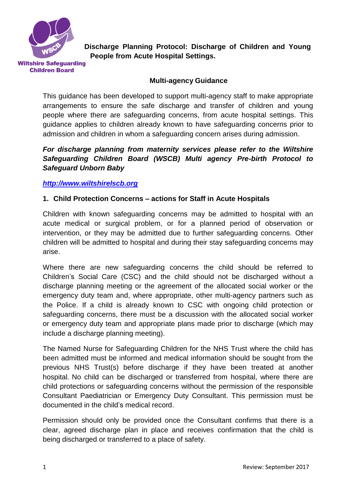

**Discharge Planning Protocol: Discharge of Children and Young People from Acute Hospital Settings.**

**Wiltshire Safeguarding Children Board** 

# **Multi-agency Guidance**

This guidance has been developed to support multi-agency staff to make appropriate arrangements to ensure the safe discharge and transfer of children and young people where there are safeguarding concerns, from acute hospital settings. This guidance applies to children already known to have safeguarding concerns prior to admission and children in whom a safeguarding concern arises during admission.

## *For discharge planning from maternity services please refer to the Wiltshire Safeguarding Children Board (WSCB) Multi agency Pre-birth Protocol to Safeguard Unborn Baby*

## *[http://www.wiltshirelscb.org](http://www.wiltshirelscb.org/)*

## **1. Child Protection Concerns – actions for Staff in Acute Hospitals**

Children with known safeguarding concerns may be admitted to hospital with an acute medical or surgical problem, or for a planned period of observation or intervention, or they may be admitted due to further safeguarding concerns. Other children will be admitted to hospital and during their stay safeguarding concerns may arise.

Where there are new safeguarding concerns the child should be referred to Children's Social Care (CSC) and the child should not be discharged without a discharge planning meeting or the agreement of the allocated social worker or the emergency duty team and, where appropriate, other multi-agency partners such as the Police. If a child is already known to CSC with ongoing child protection or safeguarding concerns, there must be a discussion with the allocated social worker or emergency duty team and appropriate plans made prior to discharge (which may include a discharge planning meeting).

The Named Nurse for Safeguarding Children for the NHS Trust where the child has been admitted must be informed and medical information should be sought from the previous NHS Trust(s) before discharge if they have been treated at another hospital. No child can be discharged or transferred from hospital, where there are child protections or safeguarding concerns without the permission of the responsible Consultant Paediatrician or Emergency Duty Consultant. This permission must be documented in the child's medical record.

Permission should only be provided once the Consultant confirms that there is a clear, agreed discharge plan in place and receives confirmation that the child is being discharged or transferred to a place of safety.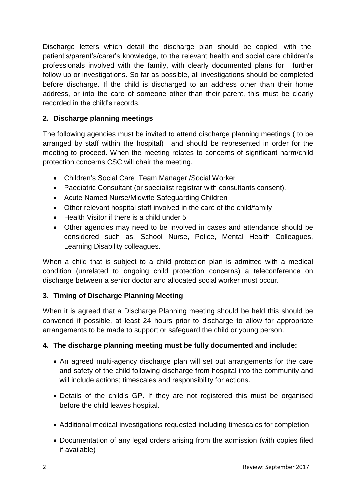Discharge letters which detail the discharge plan should be copied, with the patient's/parent's/carer's knowledge, to the relevant health and social care children's professionals involved with the family, with clearly documented plans for further follow up or investigations. So far as possible, all investigations should be completed before discharge. If the child is discharged to an address other than their home address, or into the care of someone other than their parent, this must be clearly recorded in the child's records.

# **2. Discharge planning meetings**

The following agencies must be invited to attend discharge planning meetings ( to be arranged by staff within the hospital) and should be represented in order for the meeting to proceed. When the meeting relates to concerns of significant harm/child protection concerns CSC will chair the meeting.

- Children's Social Care Team Manager /Social Worker
- Paediatric Consultant (or specialist registrar with consultants consent).
- Acute Named Nurse/Midwife Safeguarding Children
- Other relevant hospital staff involved in the care of the child/family
- Health Visitor if there is a child under 5
- Other agencies may need to be involved in cases and attendance should be considered such as, School Nurse, Police, Mental Health Colleagues, Learning Disability colleagues.

When a child that is subject to a child protection plan is admitted with a medical condition (unrelated to ongoing child protection concerns) a teleconference on discharge between a senior doctor and allocated social worker must occur.

# **3. Timing of Discharge Planning Meeting**

When it is agreed that a Discharge Planning meeting should be held this should be convened if possible, at least 24 hours prior to discharge to allow for appropriate arrangements to be made to support or safeguard the child or young person.

# **4. The discharge planning meeting must be fully documented and include:**

- An agreed multi-agency discharge plan will set out arrangements for the care and safety of the child following discharge from hospital into the community and will include actions; timescales and responsibility for actions.
- Details of the child's GP. If they are not registered this must be organised before the child leaves hospital.
- Additional medical investigations requested including timescales for completion
- Documentation of any legal orders arising from the admission (with copies filed if available)